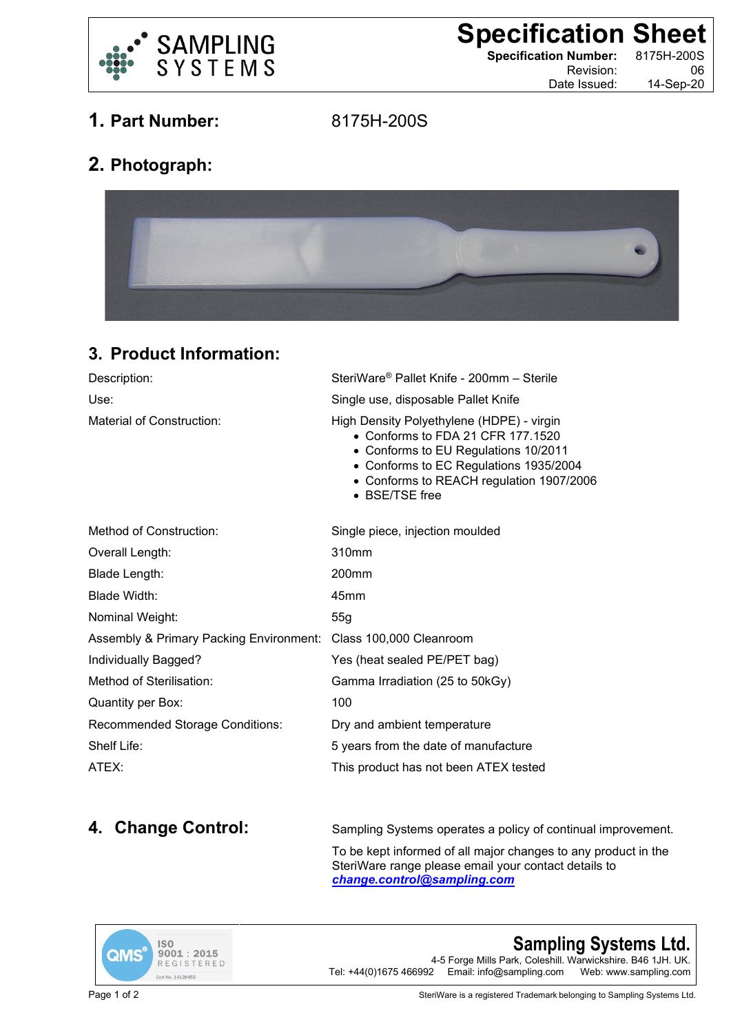

**Specification Sheet**<br> **Specification Number:** 8175H-200S

**Specification Number:** 

Revision: 06 Date Issued: 14-Sep-20

**1. Part Number:** 8175H-200S

## **2. Photograph:**



## **3. Product Information:**

| Description:                            | SteriWare® Pallet Knife - 200mm - Sterile                                                                                                                                                                                      |
|-----------------------------------------|--------------------------------------------------------------------------------------------------------------------------------------------------------------------------------------------------------------------------------|
| Use:                                    | Single use, disposable Pallet Knife                                                                                                                                                                                            |
| Material of Construction:               | High Density Polyethylene (HDPE) - virgin<br>• Conforms to FDA 21 CFR 177,1520<br>• Conforms to EU Regulations 10/2011<br>• Conforms to EC Regulations 1935/2004<br>• Conforms to REACH regulation 1907/2006<br>• BSE/TSE free |
| Method of Construction:                 | Single piece, injection moulded                                                                                                                                                                                                |
| Overall Length:                         | 310mm                                                                                                                                                                                                                          |
| Blade Length:                           | 200 <sub>mm</sub>                                                                                                                                                                                                              |
| Blade Width:                            | 45mm                                                                                                                                                                                                                           |
| Nominal Weight:                         | 55g                                                                                                                                                                                                                            |
| Assembly & Primary Packing Environment: | Class 100,000 Cleanroom                                                                                                                                                                                                        |
| Individually Bagged?                    | Yes (heat sealed PE/PET bag)                                                                                                                                                                                                   |
| Method of Sterilisation:                | Gamma Irradiation (25 to 50kGy)                                                                                                                                                                                                |
| Quantity per Box:                       | 100                                                                                                                                                                                                                            |
| <b>Recommended Storage Conditions:</b>  | Dry and ambient temperature                                                                                                                                                                                                    |
| Shelf Life:                             | 5 years from the date of manufacture                                                                                                                                                                                           |
| ATEX:                                   | This product has not been ATEX tested                                                                                                                                                                                          |

**4. Change Control:** Sampling Systems operates a policy of continual improvement.

To be kept informed of all major changes to any product in the SteriWare range please email your contact details to *[change.control@sampling.com](mailto:change.control@sampling.com)*



**Sampling Systems Ltd.** 4-5 Forge Mills Park, Coleshill. Warwickshire. B46 1JH. UK.<br>Tel: +44(0)1675 466992 Email: info@sampling.com Web: www.sampling.com Email: info@sampling.com